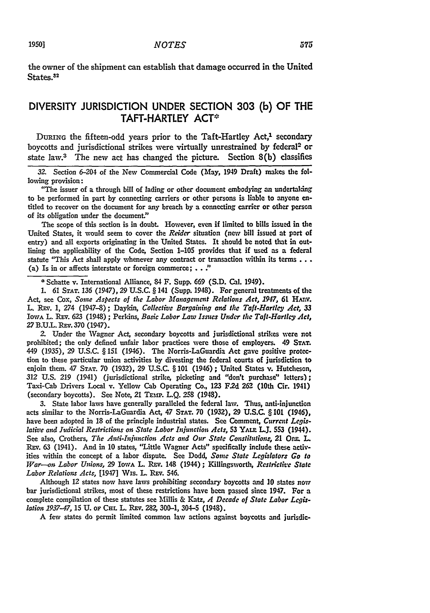the owner of the shipment can establish that damage occurred in the United States.<sup>32</sup>

## DIVERSITY **JURISDICTION UNDER SECTION 303 (b)** OF THE TAFT-HARTLEY ACT<sup>\*</sup>

DURING the fifteen-odd years prior to the Taft-Hartley Act,<sup>1</sup> secondary boycotts and jurisdictional strikes were virtually unrestrained by federal<sup>2</sup> or state law.3 The new act has changed the picture. Section 8(b) classifies

**32.** Section 6-204 of the New Commercial Code (May, 1949 Draft) makes the following provision:

"The issuer of a through bill of lading or other document embodying an undertaking to be performed in part **by** connecting carriers or other persons is liable to anyone entitled to recover on the document for any breach **by** a connecting carrier or other person of its obligation under the document."

The scope of this section is in doubt. However, even if limited to bills issued in the United States, it would seem to cover the *Reider* situation (new bill issued at port of entry) and all exports originating in the United States. It should be noted that in outlining the applicability of the Code, Section **1-105** provides that if used as a federal statute "This Act shall apply whenever any contract or transaction within its terms... (a) Is in or affects interstate or foreign commerce; **. . :**

**\*** Schatte v. International Alliance, 84 F. Supp. **669 (S.D.** Cal. 1949).

**1.** 61 **STAT.** *136* (1947), **29 U.S.C.** § 141 (Supp. 1948). For general treatments of the Act, see Cox, *Some Aspects of the Labor Management Relations Act, 1947, 61* HAnv. L. REv. 1, 274 (1947-8); Daykin, *Collective Bargaining and the Taft-Hartley Act, 33* IowA L. REv. 623 (1948) ; Perkins, *Basic Labor Law Issues Under the Taft-Hartley Act, 27* B.U.L. REv. **370** (1947).

*2.* Under the Wagner Act, secondary boycotts and jurisdictional strikes were not prohibited; the only defined unfair labor practices were those of employers. 49 **STAT.** 449 (1935), **29** U.S.C. § **151** (1946). The Norris-LaGuardia Act gave positive protection to these particular union activities by divesting the federal courts of jurisdiction to enjoin them. 47 **STAT. 70 (1932), 29** U.S.C. § 101 (1946) **;** United States v. Hutcheson, **312** U.S. **219** (1941) (jurisdictional strike picketing and "don't purchase" letters); Taxi-Cab Drivers Local v. Yellow Cab Operating Co., **123** F.2d **262** (10th Cir. 1941) (secondary boycotts). See Note, 21 TEMP. L.O. 258 (1948).

**3.** State labor laws have generally paralleled the federal law. Thus, anti-injunction acts similar to the Norris-LaGuardia Act, 47 **STAT. 70 (1932), 29 U.S.C.** § *101 (1946),* have been adopted in **18** of the principle industrial states. **See** Comment, *Current Legislative and Judicial Restrictions on State Labor Injunction Acts,* **53** YALE UJ. **553** (1944). See also, Crothers, *Tie Anti-Inijunction Acts and Our State Conslitutions,* 21 **Orz L.** REv. **63** (1941). And in **10** states, "Little Wagner Acts" specifically include these activities within the concept of a labor dispute. See Dodd, *Some State Legislator: Go to War--on Labor Unions,* **29** IowA L. REV. 148 (1944); Killingsworth, *Restrictive* State *Labor Relations Acts,* [1947] Wis. L. REv. 546.

Although 12 states now have laws prohibiting secondary boycotts and **10** states now bar jurisdictional strikes, most of these restrictions have been passed since 1947. For a complete compilation of these statutes see Millis & Katz, *A Decade of State Labor Legislaton 1937-47,* 15 U. oF **CHL** L. REv. 282, 300-1, 304-5 (1948).

A few states do permit limited common law actions against boycotts and jurisdic-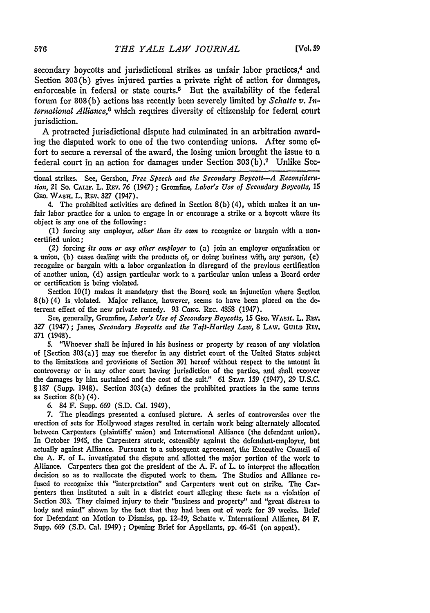secondary boycotts and jurisdictional strikes as unfair labor practices,<sup>4</sup> and Section 303(b) gives injured parties a private right of action for damages, enforceable in federal or state courts.<sup>5</sup> But the availability of the federal forum for **303** (b) actions has recently been severely limited by *Schatto v. International Alliance,6* which requires diversity of citizenship for federal court jurisdiction.

A protracted jurisdictional dispute had culminated in an arbitration awarding the disputed work to one of the two contending unions. After some effort to secure a reversal of the award, the losing union brought the issue to a federal court in an action for damages under Section 303(b).7 Unlike Sec-

tional strikes. See, Gershon, *Free Speech and the Secondary Boycott-A Reconsideration,* 21 So. **CALIF.** L. **REv.** 76 (1947) ; Gromfine, *Labor's Use of Secondary Boycotts, 15* GEo. WAsH. L. Rzv. *327* (1947).

4. The prohibited activities are defined in Section 8(b) (4), which makes it an linfair labor practice for a union to engage in or encourage a strike or a boycott where Its object is any one of the following:

(1) forcing any employer, *other than its own* to recognize or bargain with a noncertified union;

(2) forcing *its own or any other employer* to (a) join an employer organization or a union, (b) cease dealing with the products of, or doing business with, any person, (c) recognize or bargain with a labor organization in disregard of the previous certification of another union, (d) assign particular work to a particular union unless a Board order or certification is being violated.

Section 10(1) makes it mandatory that the Board seek an injunction where Section 8(b) (4) is violated. Major reliance, however, seems to have been placed on the **de**terrent effect of the new private remedy. **93** *CONG.* REc. 4858 (1947).

See, generally, Gromfine, *Labor's Use of Secondary Boycotts*, 15 GEO. WASII. L. REV. **327** (1947); Janes, *Secondary Boycotts and the Taft-Hartley Law,* 8 LAw. GUILD REv. 371 (1948).

5. "Whoever shall be injured in his business or property **by** reason of any violation of [Section 303(a)] may sue therefor in any district court of the United States subject to the limitations and provisions of Section **301** hereof without respect to the amount in controversy or in any other court having jurisdiction of the parties, and shall recover the damages by him sustained and the cost of the suit." **61 STAT.** 159 (1947), 29 U.S.C. § **187** (Supp. 1948). Section 303(a) defines the prohibited practices in the same terms as Section 8(b) (4).

**6.** 84 F. Supp. **669** (S.D. Cal. 1949).

7. The pleadings presented a confused picture. **A** series of controversies over **the** erection of sets for Hollywood stages resulted in certain work being alternately allocated between Carpenters (plaintiffs' union) and International Alliance (the defendant union). In October 1945, the Carpenters struck, ostensibly against the defendant-employer, but actually against Alliance. Pursuant to a subsequent agreement, the Executive Council of the A. F. of L. investigated the dispute and allotted the major portion of the work to Alliance. Carpenters then got the president of the A. F. of L. to interpret the allocation decision so as to reallocate the disputed work to them. The Studios and Alliance refused to recognize this "interpretation" and Carpenters went out on strike. The Carpenters then instituted a suit in a district court alleging these facts as a violation **of** Section **303.** They claimed injury to their "business and property" and "great distress to body and mind" shown by the fact that they had been out of work for 39 weeks. Brief for Defendant on Motion to Dismiss, **pp.** 12-19, Schatte v. International Alliance, 84 **F.** Supp. 669 (S.D. Cal. 1949) **;** Opening Brief for Appellants, **pp.** 46-51 (on appeal).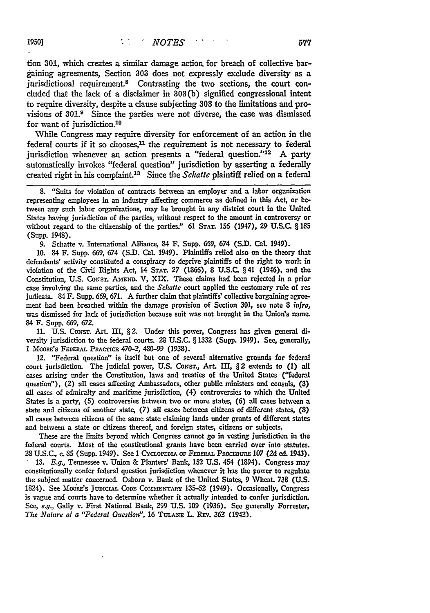tion **301,** which creates a similar damage action, for breach of collective bargaining agreements, Section **303** does not expressly exclude diversity as a jurisdictional requirement.<sup>8</sup> Contrasting the two sections, the court concluded that the lack of a disclaimer in 303(b) signified congressional intent to require diversity, despite a clause subjecting **303** to the limitations and provisions of **301.9** Since the parties were not diverse, the case was dismissed for want of jurisdiction.<sup>10</sup>

While Congress may require diversity for enforcement of an action in the federal courts if it so chooses,<sup>11</sup> the requirement is not necessary to federal jurisdiction whenever an action presents a "federal question."<sup>12</sup> A party automatically invokes "federal question" jurisdiction by asserting a federally created right in his complaint.13 Since the *Schatte* plaintiff relied on a federal

8. "Suits for violation of contracts between an employer and a labor organization representing employees in an industry affecting commerce as defined in this Act, or between any such labor organizations, may be brought in any district court in the United States having jurisdiction of the parties, without respect to the amount in controversy or without regard to the citizenship of the parties." **61 STAT. 156** (1947), 29 **U.S.C.** § **185** (Supp. 1948).

9. Schatte v. International Alliance, **84** F. Supp. 669, 674 **(S.D.** Cal. 1949).

**10.** 84 F. Supp. 669, 674 (S.D. Cal. 1949). Plaintiffs relied also on the theory that defendants' activity constituted a conspiracy to deprive plaintiffs of the right to work in violation of the Civil Rights Act, 14 **STAT. 27 (1866), 8 U.S.C.** § 41 (1946), and the Constitution, U.S. Consr. AMEND. V, XIX. These claims had been rejected in a prior case involving the same parties, and the Schatte court applied the customary rule of res judicata. 84 F. Supp. 669, 671. A further claim that plaintiffs' collective bargaining agreement had been breached within the damage provision of Section 301, see note 8 *infra,* was dismissed for lack of jurisdiction because suit was not brought in the Union's name. 84 F. Supp. 669, **672.**

**11. U.S.** Coxsr. Art. **HI,** § 2. Under this power, Congress has given general diversity jurisdiction to the federal courts. **28 U.S.C.** § **1332** (Supp. 1949). See, generally, **I** MooRE's FEDER.L PRACrICE 470-2, 480-99 **(1938).**

12. "Federal question" is itself but one of several alternative grounds for federal court jurisdiction. The judicial power, **U.S. CoNsT.,** Art. **HI,** § 2 extends to **(1)** all cases arising under the Constitution, laws and treaties of the United States ("federal question"), (2) all cases affecting Ambassadors, other public ministers and consuls, **(3)** all cases of admiralty and maritime jurisdiction, (4) controversies to which the United States is a party, (5) controversies between two or more states, **(6)** all cases between a state and citizens of another state, (7) all cases between citizens of different states, **(8)** all cases between citizens of the same state claiming lands under grants of different states and between a state or citizens thereof, and foreign states, citizens or subjects.

These are the limits beyond which Congress cannot go in vesting jurisdiction in the federal courts. Most of the constitutional grants have been carried over into statutes. 28 U.S.C., c. **85** (Supp. 1949). See **I CYCLOPEDIA OF FEDmRAL** ProcEmuR **107** (2d ed. 1943). 13. *E.g.,* Tennessee v. Union & Planters' Bank, 152 U.S. 454 (1894). Congress may constitutionally confer federal question jurisdiction whenever it has the power to regulate the subject matter concerned. Osborn v. Bank of the United States, 9 Wheat. **738 (U.S.** 1824). See Mooazis JUDmCAL **CODE COMMENTARY** 135-52 (1949). Occasionally, Congress is vague and courts have to determine whether it actually intended to confer jurisdiction. See, *e.g.,* Galy v. First National Bank, **299** U.S. 109 **(1036).** See generally Forrester, *The Nature of a "Federal Question".* 16 **TULA,=** L. **REv. 362** C1942).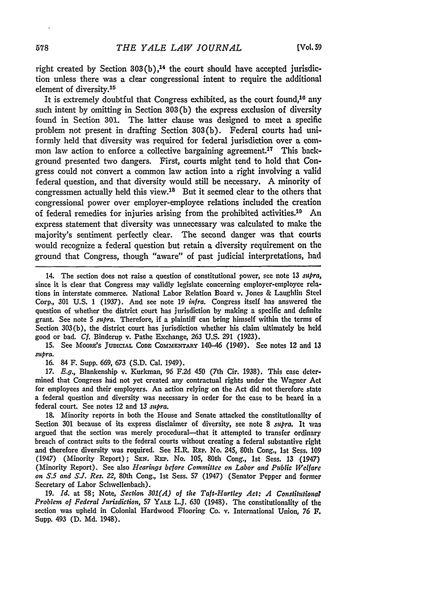right created by Section 303(b),<sup>14</sup> the court should have accepted jurisdiction unless there was a clear congressional intent to require the additional element of diversity.<sup>15</sup>

It is extremely doubtful that Congress exhibited, as the court found,<sup>10</sup> any such intent by omitting in Section 303(b) the express exclusion of diversity found in Section **301.** The latter clause was designed to meet a specific problem not present in drafting Section 303(b). Federal courts had uniformly held that diversity was required for federal jurisdiction over a common law action to enforce a collective bargaining agreement.<sup>17</sup> This background presented two dangers. First, courts might tend to hold that Congress could not convert a common law action into a right involving a valid federal question, and that diversity would still be necessary. A minority of congressmen actually held this view.<sup>18</sup> But it seemed clear to the others that congressional power over employer-employee relations included the creation of federal remedies for injuries arising from the prohibited activities.<sup>19</sup> An express statement that diversity was unnecessary was calculated to make the majority's sentiment perfectly clear. The second danger was that courts would recognize a federal question but retain a diversity requirement on the ground that Congress, though "aware" of past judicial interpretations, had

15. See MooRe's **JUDICIAL CODE COMMENTARY** 140-46 (1949). See notes 12 and **13** *supra.*

16. 84 F. Supp. 669, 673 (S.D. Cal. 1949).

*17.* E.g., Blankenship v. Kurkman, 96 F.2d 450 (7th Cir. 1938). This case determined that Congress **had** not yet created any contractual rights under the Wagner Act for employees and their employers. An action relying on the Act did not therefore state a federal question and diversity was necessary in order for the case to be heard in a federal court. See notes 12 and 13 *supra.*

18. Minority reports in both the House and Senate attacked the constitutionality of Section 301 because of its express disclaimer of diversity, see note 8 *supra.* It was argued that the section was merely procedural—that it attempted to transfer ordinary breach of contract suits to the federal courts without creating a federal substantive right and therefore diversity was required. See H.R. REP. No. 245, 80th Cong., 1st Sess. 109 (1947) (Minority Report); SEr. REP. No. 105, 80th Cong., 1st Sess. **13** (1947) (Minority Report). See also *Hearings before Committee on Labor and Public Welfare on S.5 and S.J. Res.* 22, 80th Cong., 1st Sess. **57** (1947) (Senator Pepper and former Secretary of Labor Schwellenbach).

**19.** *Id.* at **58;** Note, *Section 301(A) of the Taft-Hartley Act: A Constitutionar Problem of Federal Jurisdiction,* **57** YALE L.J. 630 (1948). The constitutionality of the section was upheld in Colonial Hardwood Flooring Co. v. International Union, *76* F. Supp. **493 (D. Md.** 1948).

<sup>14.</sup> The section does not raise a question of constitutional power, see note 13 *sopra,* since it is clear that Congress may validly legislate concerning employer-employee relations in interstate commerce. National Labor Relation Board v. Jones & Laughlin Steel Corp., 301 U.S. 1 (1937). And see note 19 infra. Congress itself has answered the question of whether the district court has jurisdiction by making a specific and definite grant. See note 5 *supra.* Therefore, if a plaintiff can bring himself within the terms of Section 303(b), the district court has jurisdiction whether his claim ultimately be held good or bad. *Cf.* Binderup v. Pathe Exchange, **263** U.S. 291 (1923).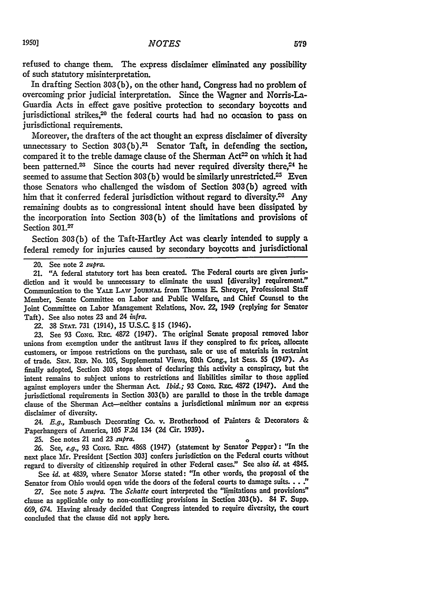refused to change them. The express disclaimer eliminated any possibility of such statutory misinterpretation.

In drafting Section **303(b),** on the other hand, Congress had no problem of overcoming prior judicial interpretation. Since the Wagner and Norris-La-Guardia Acts in effect gave positive protection to secondary boycotts and jurisdictional strikes,<sup>20</sup> the federal courts had had no occasion to pass on jurisdictional requirements.

Moreover, the drafters of the act thought an express disclaimer of diversity unnecessary to Section 303(b) **.21** Senator Taft, in defending the section, compared it to the treble damage clause of the Sherman Act<sup>22</sup> on which it had been patterned.<sup>23</sup> Since the courts had never required diversity there,<sup>24</sup> he seemed to assume that Section 303(b) would be similarly unrestricted.<sup>25</sup> Even those Senators who challenged the wisdom of Section 303(b) agreed with him that it conferred federal jurisdiction without regard to diversity.<sup>26</sup> Any remaining doubts as to congressional intent should have been dissipated **by** the incorporation into Section 303(b) of the limitations and provisions of Section **301.2**

Section 303(b) of the Taft-Hartley Act was clearly intended to supply a federal remedy for injuries caused by secondary boycotts and jurisdictional

21. "A federal statutory tort has been created. The Federal courts are given jurisdiction and it would be unnecessary to eliminate the usual [diversity] requirement." Communication to the **YALE LAW** JouRxAL from Thomas **E.** Shroyer, Professional Staff Member, Senate Committee on Labor and Public Welfare, and Chief Counsel to the Joint Committee on Labor Management Relations, Nov. 22, 1949 (replying for Senator Taft). See also notes 23 and 24 infra.

22. **38 STAT.** 731 (1914), 15 U.S.C. § 15 (1946).

23. See 93 **CONG. Rc.** 4872 (1947). The original Senate proposal removed labor unions from exemption under the antitrust laws if they conspired to **fix** prices, allocate customers, or impose restrictions on the purchase, sale or use of materials in restraint of trade. **SE-.** REP. No. 105, Supplemental Views, 80th Cong., 1st Sess. **55** (1947). As finally adopted, Section **303** stops short of declaring this activity a conspiracy, but the intent remains to subject unions to restrictions and liabilities similar to those applied against employers under the Sherman Act. *Ibid.*; 93 Cong. REC. 4872 (1947). And the jurisdictional requirements in Section 303(b) are parallel to those in the treble damage clause of the Sherman Act-neither contains a jurisdictional minimum nor an express disclaimer of diversity.

24. *E.g.,* Rambusch Decorating Co. v. Brotherhood of Painters & Decorators & Paperhangers of America, 105 **F.2d** 134 (2d Cir. 1939).

**25.** See notes 21 and 23 supra.

**26.** See, *e.g.,* **93 CoNG.** R.. 4868 (1947) (statement **by** Senator Pepper) **:** "In the next place Mr. President [Section **303]** confers jurisdiction on the Federal courts without regard to diversity of citizenship required in other Federal cases." See also *id.* at 4345.

See *id.* at 4839, where Senator Morse stated: "In other words, the proposal of the Senator from Ohio would open wide the doors of the federal courts to damage suits... **'**

**27.** See note 5 *supra.* The *Schatte* court interpreted the "limitations and provisions" clause as applicable only to non-conflicting provisions in Section 303(b). 84 F. Supp. 669, 674. Having already decided that Congress intended to require diversity, the court concluded that the clause did not apply here.

<sup>20.</sup> See note 2 *supra.*